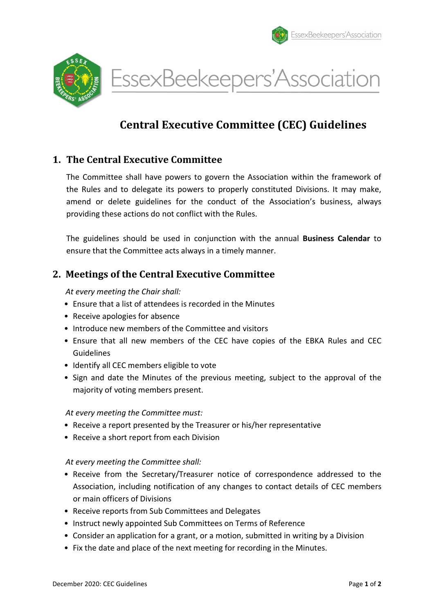





# Central Executive Committee (CEC) Guidelines

# 1. The Central Executive Committee

 The Committee shall have powers to govern the Association within the framework of the Rules and to delegate its powers to properly constituted Divisions. It may make, amend or delete guidelines for the conduct of the Association's business, always providing these actions do not conflict with the Rules.

 The guidelines should be used in conjunction with the annual Business Calendar to ensure that the Committee acts always in a timely manner.

# 2. Meetings of the Central Executive Committee

At every meeting the Chair shall:

- Ensure that a list of attendees is recorded in the Minutes
- Receive apologies for absence
- Introduce new members of the Committee and visitors
- Ensure that all new members of the CEC have copies of the EBKA Rules and CEC Guidelines
- Identify all CEC members eligible to vote
- Sign and date the Minutes of the previous meeting, subject to the approval of the majority of voting members present.

At every meeting the Committee must:

- Receive a report presented by the Treasurer or his/her representative
- Receive a short report from each Division

#### At every meeting the Committee shall:

- Receive from the Secretary/Treasurer notice of correspondence addressed to the Association, including notification of any changes to contact details of CEC members or main officers of Divisions
- Receive reports from Sub Committees and Delegates
- Instruct newly appointed Sub Committees on Terms of Reference
- Consider an application for a grant, or a motion, submitted in writing by a Division
- Fix the date and place of the next meeting for recording in the Minutes.